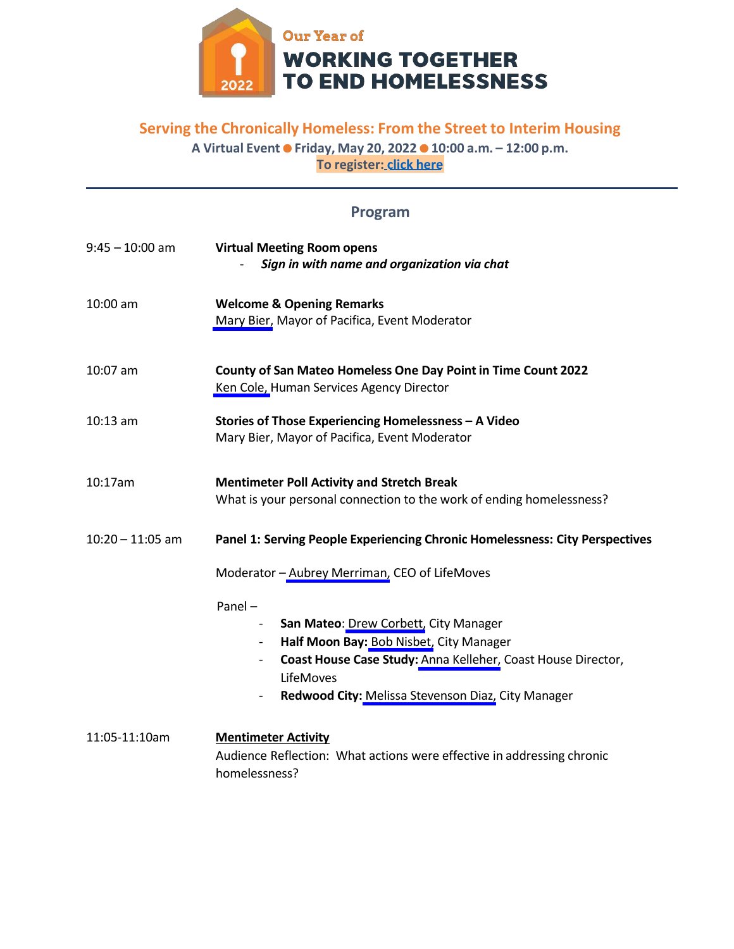

# **Serving the Chronically Homeless: From the Street to Interim Housing**

**A Virtual EventFriday, May 20, 202210:00 a.m. – 12:00 p.m. To register: [click here](https://smcgov.zoom.us/meeting/register/tJEkdOmrrDkiGdU5ITW5NTE7-J9VBoI3PYcs)**

| Program |
|---------|
|---------|

| $9:45 - 10:00$ am  | <b>Virtual Meeting Room opens</b><br>Sign in with name and organization via chat                                                                                                                                                                                                         |
|--------------------|------------------------------------------------------------------------------------------------------------------------------------------------------------------------------------------------------------------------------------------------------------------------------------------|
| 10:00 am           | <b>Welcome &amp; Opening Remarks</b><br>Mary Bier, Mayor of Pacifica, Event Moderator                                                                                                                                                                                                    |
| $10:07$ am         | County of San Mateo Homeless One Day Point in Time Count 2022<br>Ken Cole, Human Services Agency Director                                                                                                                                                                                |
| $10:13$ am         | Stories of Those Experiencing Homelessness - A Video<br>Mary Bier, Mayor of Pacifica, Event Moderator                                                                                                                                                                                    |
| 10:17am            | <b>Mentimeter Poll Activity and Stretch Break</b><br>What is your personal connection to the work of ending homelessness?                                                                                                                                                                |
| $10:20 - 11:05$ am | Panel 1: Serving People Experiencing Chronic Homelessness: City Perspectives                                                                                                                                                                                                             |
|                    | Moderator - Aubrey Merriman, CEO of LifeMoves                                                                                                                                                                                                                                            |
|                    | Panel $-$<br>San Mateo: Drew Corbett, City Manager<br>$\overline{\phantom{a}}$<br>Half Moon Bay: Bob Nisbet, City Manager<br>Coast House Case Study: Anna Kelleher, Coast House Director,<br>$\overline{\phantom{a}}$<br>LifeMoves<br>Redwood City: Melissa Stevenson Diaz, City Manager |
| 11:05-11:10am      | <b>Mentimeter Activity</b><br>Audience Reflection: What actions were effective in addressing chronic<br>homelessness?                                                                                                                                                                    |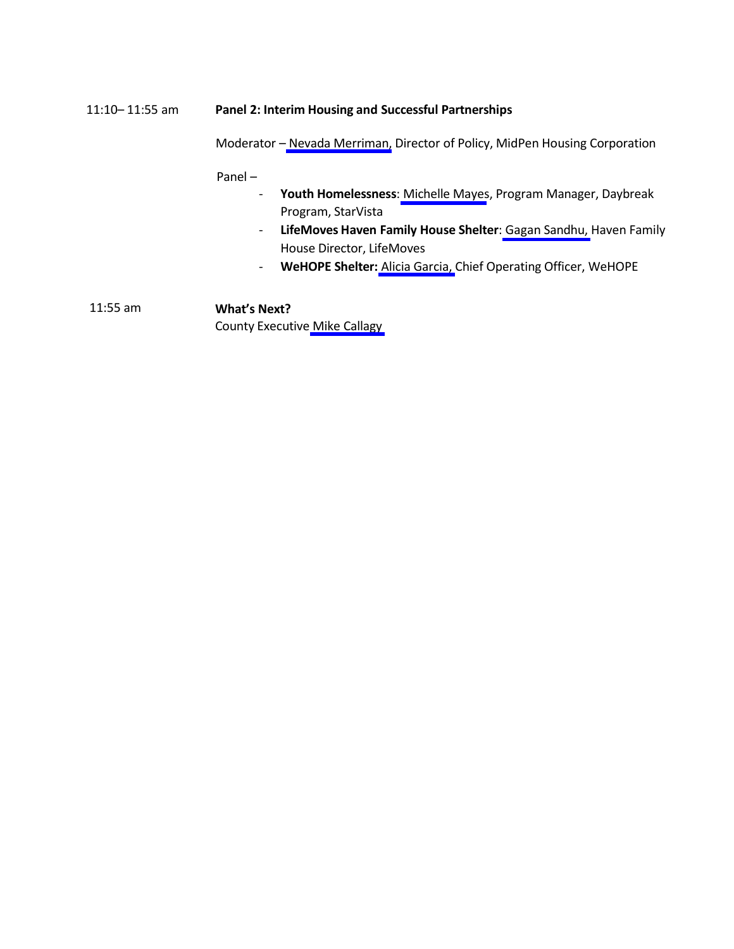# 11:10– 11:55 am **Panel 2: Interim Housing and Successful Partnerships**

Moderator – [Nevada Merriman,](#page-4-1) Director of Policy, MidPen Housing Corporation

Panel –

- **Youth Homelessness**: [Michelle](#page-4-2) Mayes, Program Manager, Daybreak Program, StarVista
- **LifeMoves Haven Family House Shelter**: Gagan [Sandhu,](#page-5-0) Haven Family House Director, LifeMoves
- **WeHOPE Shelter:** Alicia [Garcia,](#page-5-1) Chief Operating Officer, WeHOPE

11:55 am **What's Next?** County Executive Mike [Callagy](#page-5-2)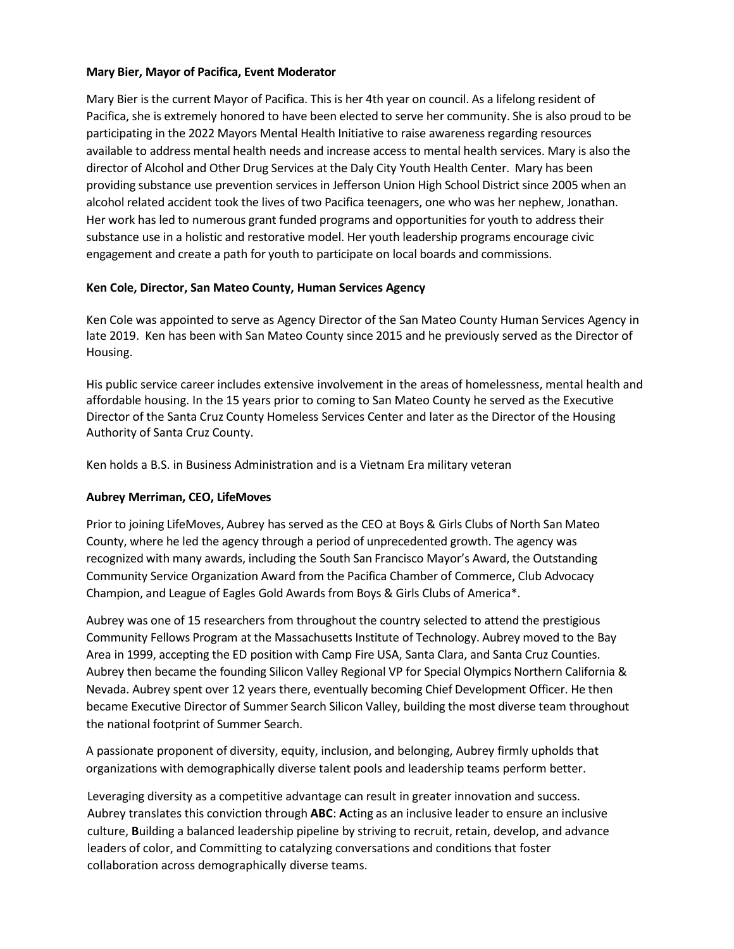#### <span id="page-2-0"></span>**Mary Bier, Mayor of Pacifica, Event Moderator**

Mary Bier is the current Mayor of Pacifica. This is her 4th year on council. As a lifelong resident of Pacifica, she is extremely honored to have been elected to serve her community. She is also proud to be participating in the 2022 Mayors Mental Health Initiative to raise awareness regarding resources available to address mental health needs and increase access to mental health services. Mary is also the director of Alcohol and Other Drug Services at the Daly City Youth Health Center. Mary has been providing substance use prevention services in Jefferson Union High School District since 2005 when an alcohol related accident took the lives of two Pacifica teenagers, one who was her nephew, Jonathan. Her work has led to numerous grant funded programs and opportunities for youth to address their substance use in a holistic and restorative model. Her youth leadership programs encourage civic engagement and create a path for youth to participate on local boards and commissions.

#### <span id="page-2-1"></span>**Ken Cole, Director, San Mateo County, Human Services Agency**

Ken Cole was appointed to serve as Agency Director of the San Mateo County Human Services Agency in late 2019. Ken has been with San Mateo County since 2015 and he previously served as the Director of Housing.

His public service career includes extensive involvement in the areas of homelessness, mental health and affordable housing. In the 15 years prior to coming to San Mateo County he served as the Executive Director of the Santa Cruz County Homeless Services Center and later as the Director of the Housing Authority of Santa Cruz County.

Ken holds a B.S. in Business Administration and is a Vietnam Era military veteran

#### <span id="page-2-2"></span>**Aubrey Merriman, CEO, LifeMoves**

Prior to joining LifeMoves, Aubrey has served as the CEO at Boys & Girls Clubs of North San Mateo County, where he led the agency through a period of unprecedented growth. The agency was recognized with many awards, including the South San Francisco Mayor's Award, the Outstanding Community Service Organization Award from the Pacifica Chamber of Commerce, Club Advocacy Champion, and League of Eagles Gold Awards from Boys & Girls Clubs of America\*.

Aubrey was one of 15 researchers from throughout the country selected to attend the prestigious Community Fellows Program at the Massachusetts Institute of Technology. Aubrey moved to the Bay Area in 1999, accepting the ED position with Camp Fire USA, Santa Clara, and Santa Cruz Counties. Aubrey then became the founding Silicon Valley Regional VP for Special Olympics Northern California & Nevada. Aubrey spent over 12 years there, eventually becoming Chief Development Officer. He then became Executive Director of Summer Search Silicon Valley, building the most diverse team throughout the national footprint of Summer Search.

A passionate proponent of diversity, equity, inclusion, and belonging, Aubrey firmly upholds that organizations with demographically diverse talent pools and leadership teams perform better.

Leveraging diversity as a competitive advantage can result in greater innovation and success. Aubrey translates this conviction through **ABC**: **A**cting as an inclusive leader to ensure an inclusive culture, **B**uilding a balanced leadership pipeline by striving to recruit, retain, develop, and advance leaders of color, and Committing to catalyzing conversations and conditions that foster collaboration across demographically diverse teams.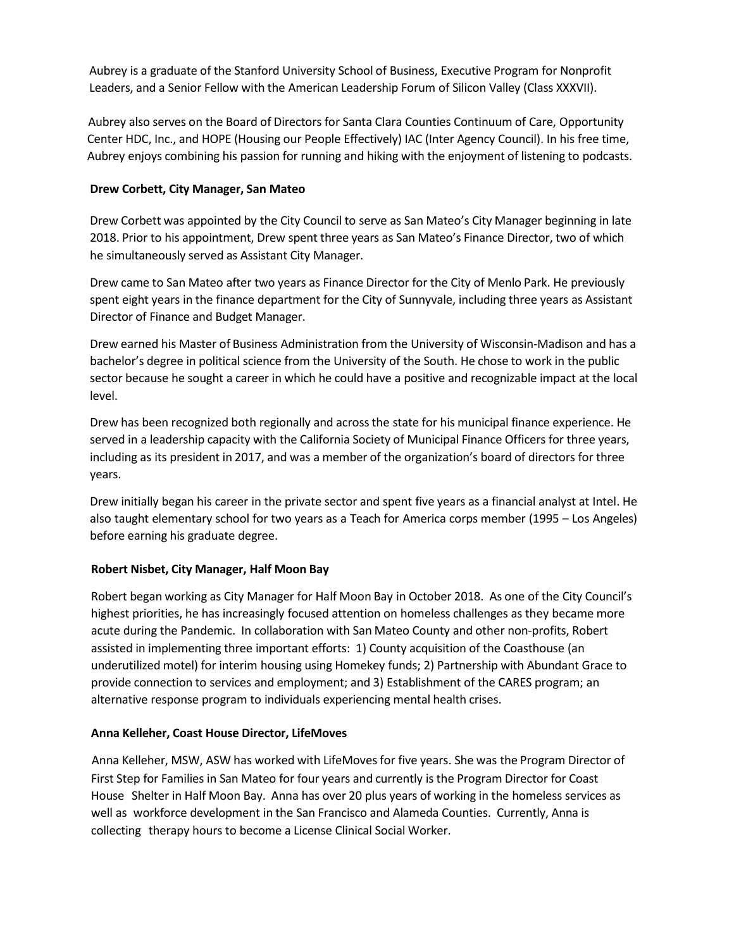Aubrey is a graduate of the Stanford University School of Business, Executive Program for Nonprofit Leaders, and a Senior Fellow with the American Leadership Forum of Silicon Valley (Class XXXVII).

Aubrey also serves on the Board of Directors for Santa Clara Counties Continuum of Care, Opportunity Center HDC, Inc., and HOPE (Housing our People Effectively) IAC (Inter Agency Council). In his free time, Aubrey enjoys combining his passion for running and hiking with the enjoyment of listening to podcasts.

## <span id="page-3-0"></span>**Drew Corbett, City Manager, San Mateo**

Drew Corbett was appointed by the City Council to serve as San Mateo's City Manager beginning in late 2018. Prior to his appointment, Drew spent three years as San Mateo's Finance Director, two of which he simultaneously served as Assistant City Manager.

Drew came to San Mateo after two years as Finance Director for the City of Menlo Park. He previously spent eight years in the finance department for the City of Sunnyvale, including three years as Assistant Director of Finance and Budget Manager.

Drew earned his Master of Business Administration from the University of Wisconsin-Madison and has a bachelor's degree in political science from the University of the South. He chose to work in the public sector because he sought a career in which he could have a positive and recognizable impact at the local level.

Drew has been recognized both regionally and acrossthe state for his municipal finance experience. He served in a leadership capacity with the California Society of Municipal Finance Officers for three years, including as its president in 2017, and was a member of the organization's board of directors for three years.

Drew initially began his career in the private sector and spent five years as a financial analyst at Intel. He also taught elementary school for two years as a Teach for America corps member (1995 – Los Angeles) before earning his graduate degree.

# <span id="page-3-1"></span>**Robert Nisbet, City Manager, Half Moon Bay**

Robert began working as City Manager for Half Moon Bay in October 2018. As one of the City Council's highest priorities, he has increasingly focused attention on homeless challenges as they became more acute during the Pandemic. In collaboration with San Mateo County and other non-profits, Robert assisted in implementing three important efforts: 1) County acquisition of the Coasthouse (an underutilized motel) for interim housing using Homekey funds; 2) Partnership with Abundant Grace to provide connection to services and employment; and 3) Establishment of the CARES program; an alternative response program to individuals experiencing mental health crises.

#### <span id="page-3-2"></span>**Anna Kelleher, Coast House Director, LifeMoves**

Anna Kelleher, MSW, ASW has worked with LifeMovesfor five years. She was the Program Director of First Step for Families in San Mateo for four years and currently is the Program Director for Coast House Shelter in Half Moon Bay. Anna has over 20 plus years of working in the homeless services as well as workforce development in the San Francisco and Alameda Counties. Currently, Anna is collecting therapy hours to become a License Clinical Social Worker.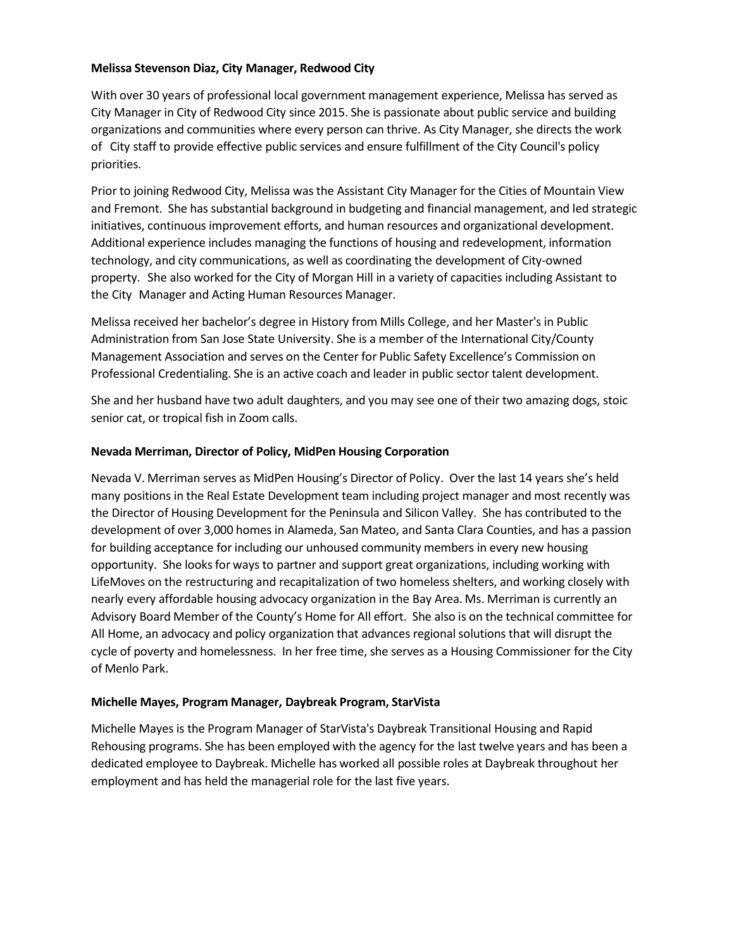#### <span id="page-4-0"></span>**Melissa Stevenson Diaz, City Manager, Redwood City**

With over 30 years of professional local government management experience, Melissa has served as City Manager in City of Redwood City since 2015. She is passionate about public service and building organizations and communities where every person can thrive. As City Manager, she directs the work of City staff to provide effective public services and ensure fulfillment of the City Council's policy priorities.

Prior to joining Redwood City, Melissa was the Assistant City Manager for the Cities of Mountain View and Fremont. She has substantial background in budgeting and financial management, and led strategic initiatives, continuous improvement efforts, and human resources and organizational development. Additional experience includes managing the functions of housing and redevelopment, information technology, and city communications, as well as coordinating the development of City-owned property. She also worked for the City of Morgan Hill in a variety of capacities including Assistant to the City Manager and Acting Human Resources Manager.

Melissa received her bachelor's degree in History from Mills College, and her Master's in Public Administration from San Jose State University. She is a member of the International City/County Management Association and serves on the Center for Public Safety Excellence's Commission on Professional Credentialing. She is an active coach and leader in public sector talent development.

She and her husband have two adult daughters, and you may see one of their two amazing dogs, stoic senior cat, or tropical fish in Zoom calls.

#### <span id="page-4-1"></span>**Nevada Merriman, Director of Policy, MidPen Housing Corporation**

Nevada V. Merriman serves as MidPen Housing's Director of Policy. Over the last 14 years she's held many positions in the Real Estate Development team including project manager and most recently was the Director of Housing Development for the Peninsula and Silicon Valley. She has contributed to the development of over 3,000 homes in Alameda, San Mateo, and Santa Clara Counties, and has a passion for building acceptance for including our unhoused community members in every new housing opportunity. She looksfor ways to partner and support great organizations, including working with LifeMoves on the restructuring and recapitalization of two homeless shelters, and working closely with nearly every affordable housing advocacy organization in the Bay Area. Ms. Merriman is currently an Advisory Board Member of the County's Home for All effort. She also is on the technical committee for All Home, an advocacy and policy organization that advances regional solutions that will disrupt the cycle of poverty and homelessness. In her free time, she serves as a Housing Commissioner for the City of Menlo Park.

#### <span id="page-4-2"></span>**Michelle Mayes, Program Manager, Daybreak Program, StarVista**

Michelle Mayes is the Program Manager of StarVista's Daybreak Transitional Housing and Rapid Rehousing programs. She has been employed with the agency for the last twelve years and has been a dedicated employee to Daybreak. Michelle has worked all possible roles at Daybreak throughout her employment and has held the managerial role for the last five years.